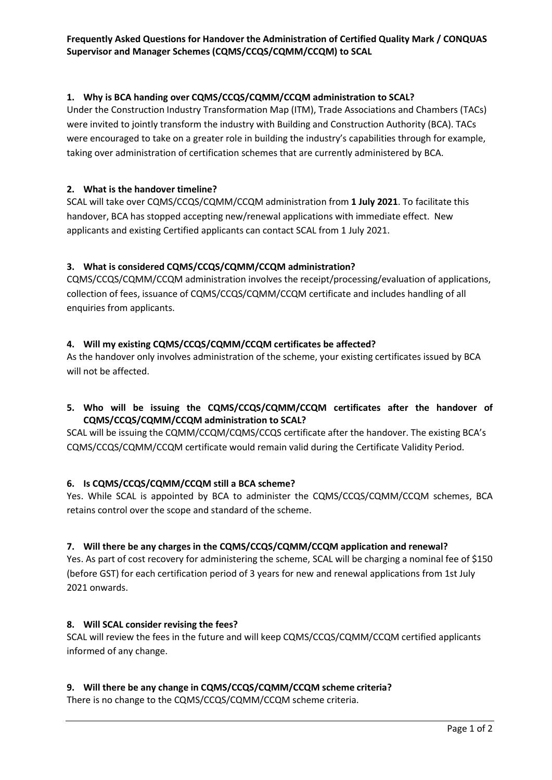### 1. Why is BCA handing over CQMS/CCQS/CQMM/CCQM administration to SCAL?

Under the Construction Industry Transformation Map (ITM), Trade Associations and Chambers (TACs) were invited to jointly transform the industry with Building and Construction Authority (BCA). TACs were encouraged to take on a greater role in building the industry's capabilities through for example, taking over administration of certification schemes that are currently administered by BCA.

### 2. What is the handover timeline?

SCAL will take over CQMS/CCQS/CQMM/CCQM administration from 1 July 2021. To facilitate this handover, BCA has stopped accepting new/renewal applications with immediate effect. New applicants and existing Certified applicants can contact SCAL from 1 July 2021.

# 3. What is considered CQMS/CCQS/CQMM/CCQM administration?

CQMS/CCQS/CQMM/CCQM administration involves the receipt/processing/evaluation of applications, collection of fees, issuance of CQMS/CCQS/CQMM/CCQM certificate and includes handling of all enquiries from applicants.

### 4. Will my existing CQMS/CCQS/CQMM/CCQM certificates be affected?

As the handover only involves administration of the scheme, your existing certificates issued by BCA will not be affected.

# 5. Who will be issuing the CQMS/CCQS/CQMM/CCQM certificates after the handover of CQMS/CCQS/CQMM/CCQM administration to SCAL?

SCAL will be issuing the CQMM/CCQM/CQMS/CCQS certificate after the handover. The existing BCA's CQMS/CCQS/CQMM/CCQM certificate would remain valid during the Certificate Validity Period.

### 6. Is CQMS/CCQS/CQMM/CCQM still a BCA scheme?

Yes. While SCAL is appointed by BCA to administer the CQMS/CCQS/CQMM/CCQM schemes, BCA retains control over the scope and standard of the scheme.

### 7. Will there be any charges in the CQMS/CCQS/CQMM/CCQM application and renewal?

Yes. As part of cost recovery for administering the scheme, SCAL will be charging a nominal fee of \$150 (before GST) for each certification period of 3 years for new and renewal applications from 1st July 2021 onwards.

### 8. Will SCAL consider revising the fees?

SCAL will review the fees in the future and will keep CQMS/CCQS/CQMM/CCQM certified applicants informed of any change.

### 9. Will there be any change in CQMS/CCQS/CQMM/CCQM scheme criteria?

There is no change to the CQMS/CCQS/CQMM/CCQM scheme criteria.